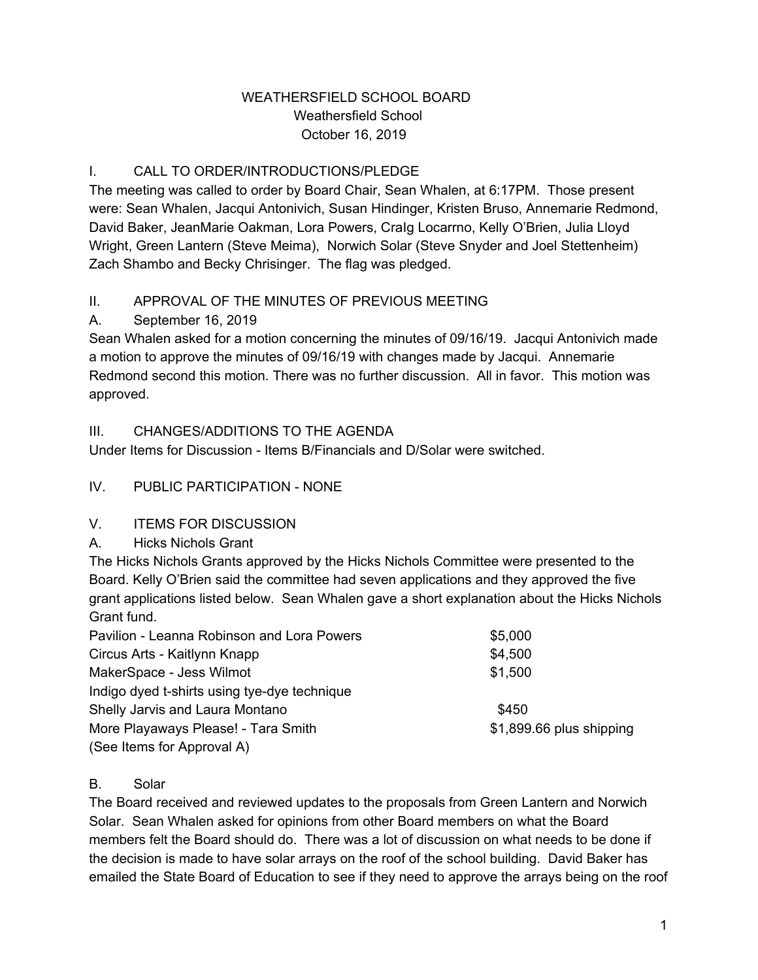#### WEATHERSFIELD SCHOOL BOARD Weathersfield School October 16, 2019

# I. CALL TO ORDER/INTRODUCTIONS/PLEDGE

The meeting was called to order by Board Chair, Sean Whalen, at 6:17PM. Those present were: Sean Whalen, Jacqui Antonivich, Susan Hindinger, Kristen Bruso, Annemarie Redmond, David Baker, JeanMarie Oakman, Lora Powers, CraIg Locarrno, Kelly O'Brien, Julia Lloyd Wright, Green Lantern (Steve Meima), Norwich Solar (Steve Snyder and Joel Stettenheim) Zach Shambo and Becky Chrisinger. The flag was pledged.

# II. APPROVAL OF THE MINUTES OF PREVIOUS MEETING

# A. September 16, 2019

Sean Whalen asked for a motion concerning the minutes of 09/16/19. Jacqui Antonivich made a motion to approve the minutes of 09/16/19 with changes made by Jacqui. Annemarie Redmond second this motion. There was no further discussion. All in favor. This motion was approved.

# III. CHANGES/ADDITIONS TO THE AGENDA

Under Items for Discussion - Items B/Financials and D/Solar were switched.

# IV. PUBLIC PARTICIPATION - NONE

#### V. ITEMS FOR DISCUSSION

A. Hicks Nichols Grant

The Hicks Nichols Grants approved by the Hicks Nichols Committee were presented to the Board. Kelly O'Brien said the committee had seven applications and they approved the five grant applications listed below. Sean Whalen gave a short explanation about the Hicks Nichols Grant fund.

| Pavilion - Leanna Robinson and Lora Powers   | \$5,000                  |
|----------------------------------------------|--------------------------|
| Circus Arts - Kaitlynn Knapp                 | \$4,500                  |
| MakerSpace - Jess Wilmot                     | \$1,500                  |
| Indigo dyed t-shirts using tye-dye technique |                          |
| Shelly Jarvis and Laura Montano              | \$450                    |
| More Playaways Please! - Tara Smith          | \$1,899.66 plus shipping |
| (See Items for Approval A)                   |                          |

#### B. Solar

The Board received and reviewed updates to the proposals from Green Lantern and Norwich Solar. Sean Whalen asked for opinions from other Board members on what the Board members felt the Board should do. There was a lot of discussion on what needs to be done if the decision is made to have solar arrays on the roof of the school building. David Baker has emailed the State Board of Education to see if they need to approve the arrays being on the roof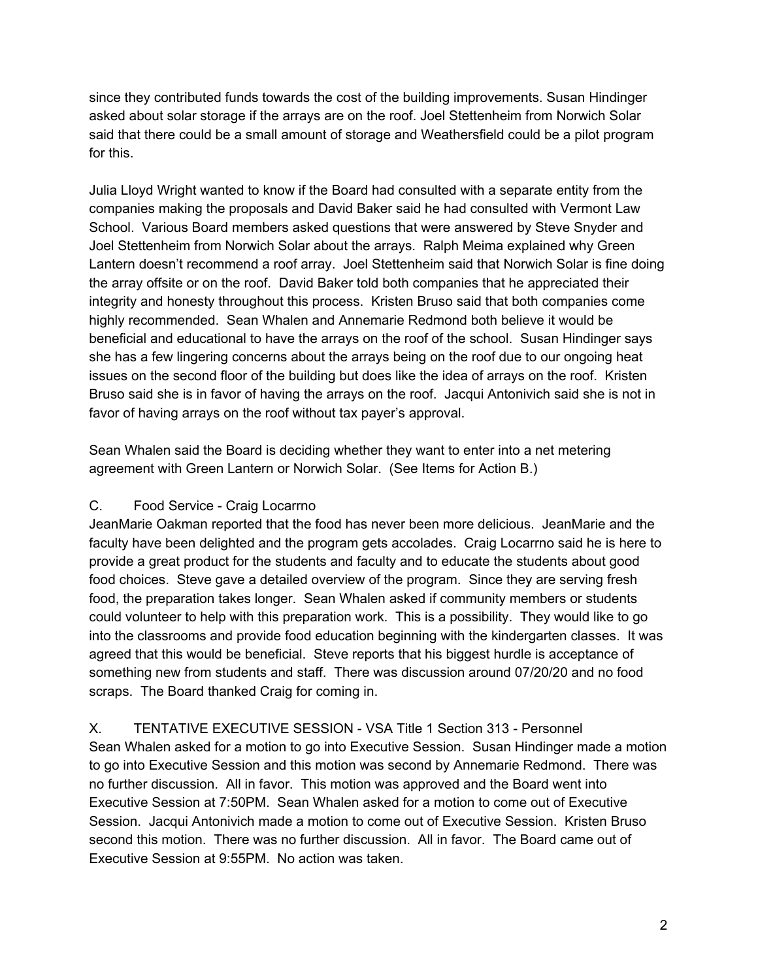since they contributed funds towards the cost of the building improvements. Susan Hindinger asked about solar storage if the arrays are on the roof. Joel Stettenheim from Norwich Solar said that there could be a small amount of storage and Weathersfield could be a pilot program for this.

Julia Lloyd Wright wanted to know if the Board had consulted with a separate entity from the companies making the proposals and David Baker said he had consulted with Vermont Law School. Various Board members asked questions that were answered by Steve Snyder and Joel Stettenheim from Norwich Solar about the arrays. Ralph Meima explained why Green Lantern doesn't recommend a roof array. Joel Stettenheim said that Norwich Solar is fine doing the array offsite or on the roof. David Baker told both companies that he appreciated their integrity and honesty throughout this process. Kristen Bruso said that both companies come highly recommended. Sean Whalen and Annemarie Redmond both believe it would be beneficial and educational to have the arrays on the roof of the school. Susan Hindinger says she has a few lingering concerns about the arrays being on the roof due to our ongoing heat issues on the second floor of the building but does like the idea of arrays on the roof. Kristen Bruso said she is in favor of having the arrays on the roof. Jacqui Antonivich said she is not in favor of having arrays on the roof without tax payer's approval.

Sean Whalen said the Board is deciding whether they want to enter into a net metering agreement with Green Lantern or Norwich Solar. (See Items for Action B.)

#### C. Food Service - Craig Locarrno

JeanMarie Oakman reported that the food has never been more delicious. JeanMarie and the faculty have been delighted and the program gets accolades. Craig Locarrno said he is here to provide a great product for the students and faculty and to educate the students about good food choices. Steve gave a detailed overview of the program. Since they are serving fresh food, the preparation takes longer. Sean Whalen asked if community members or students could volunteer to help with this preparation work. This is a possibility. They would like to go into the classrooms and provide food education beginning with the kindergarten classes. It was agreed that this would be beneficial. Steve reports that his biggest hurdle is acceptance of something new from students and staff. There was discussion around 07/20/20 and no food scraps. The Board thanked Craig for coming in.

X. TENTATIVE EXECUTIVE SESSION - VSA Title 1 Section 313 - Personnel Sean Whalen asked for a motion to go into Executive Session. Susan Hindinger made a motion to go into Executive Session and this motion was second by Annemarie Redmond. There was no further discussion. All in favor. This motion was approved and the Board went into Executive Session at 7:50PM. Sean Whalen asked for a motion to come out of Executive Session. Jacqui Antonivich made a motion to come out of Executive Session. Kristen Bruso second this motion. There was no further discussion. All in favor. The Board came out of Executive Session at 9:55PM. No action was taken.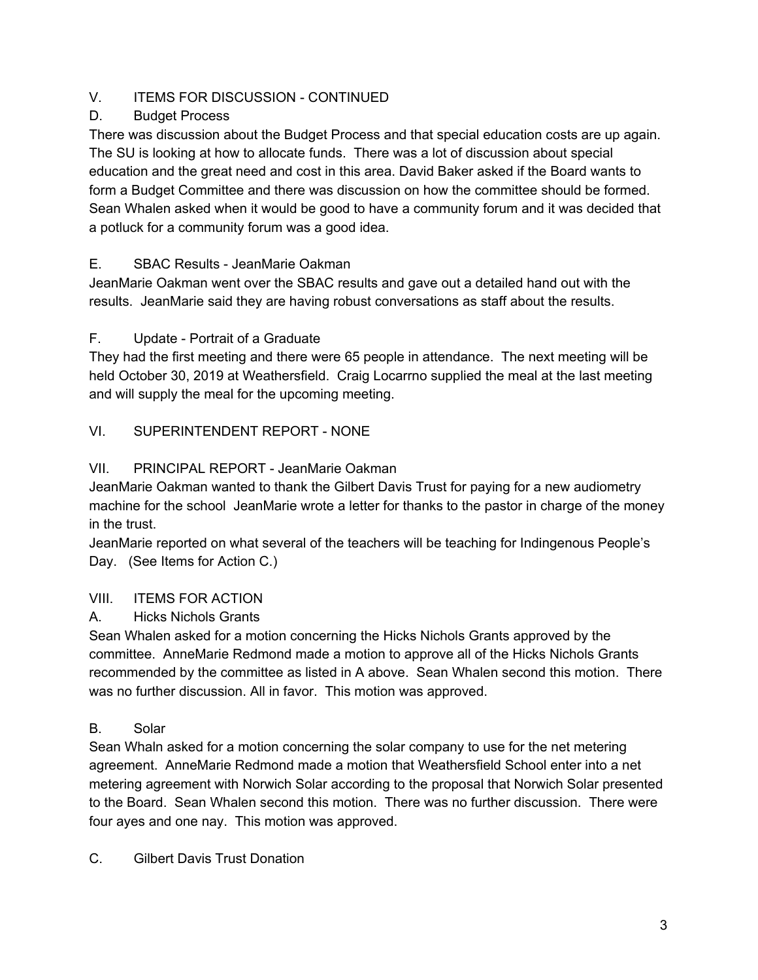# V. ITEMS FOR DISCUSSION - CONTINUED

# D. Budget Process

There was discussion about the Budget Process and that special education costs are up again. The SU is looking at how to allocate funds. There was a lot of discussion about special education and the great need and cost in this area. David Baker asked if the Board wants to form a Budget Committee and there was discussion on how the committee should be formed. Sean Whalen asked when it would be good to have a community forum and it was decided that a potluck for a community forum was a good idea.

# E. SBAC Results - JeanMarie Oakman

JeanMarie Oakman went over the SBAC results and gave out a detailed hand out with the results. JeanMarie said they are having robust conversations as staff about the results.

# F. Update - Portrait of a Graduate

They had the first meeting and there were 65 people in attendance. The next meeting will be held October 30, 2019 at Weathersfield. Craig Locarrno supplied the meal at the last meeting and will supply the meal for the upcoming meeting.

# VI. SUPERINTENDENT REPORT - NONE

# VII. PRINCIPAL REPORT - JeanMarie Oakman

JeanMarie Oakman wanted to thank the Gilbert Davis Trust for paying for a new audiometry machine for the school JeanMarie wrote a letter for thanks to the pastor in charge of the money in the trust.

JeanMarie reported on what several of the teachers will be teaching for Indingenous People's Day. (See Items for Action C.)

#### VIII. ITEMS FOR ACTION

#### A. Hicks Nichols Grants

Sean Whalen asked for a motion concerning the Hicks Nichols Grants approved by the committee. AnneMarie Redmond made a motion to approve all of the Hicks Nichols Grants recommended by the committee as listed in A above. Sean Whalen second this motion. There was no further discussion. All in favor. This motion was approved.

# B. Solar

Sean Whaln asked for a motion concerning the solar company to use for the net metering agreement. AnneMarie Redmond made a motion that Weathersfield School enter into a net metering agreement with Norwich Solar according to the proposal that Norwich Solar presented to the Board. Sean Whalen second this motion. There was no further discussion. There were four ayes and one nay. This motion was approved.

C. Gilbert Davis Trust Donation